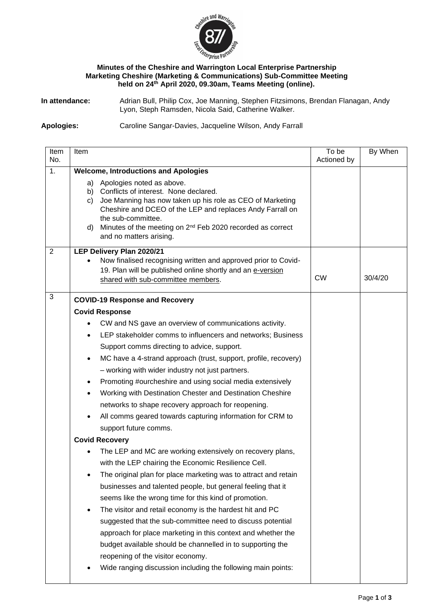

## **Minutes of the Cheshire and Warrington Local Enterprise Partnership Marketing Cheshire (Marketing & Communications) Sub-Committee Meeting held on 24th April 2020, 09.30am, Teams Meeting (online).**

**In attendance:** Adrian Bull, Philip Cox, Joe Manning, Stephen Fitzsimons, Brendan Flanagan, Andy Lyon, Steph Ramsden, Nicola Said, Catherine Walker.

## **Apologies:** Caroline Sangar-Davies, Jacqueline Wilson, Andy Farrall

| Item           | Item                                                                                                                                | To be       | By When |  |  |  |
|----------------|-------------------------------------------------------------------------------------------------------------------------------------|-------------|---------|--|--|--|
| No.            |                                                                                                                                     | Actioned by |         |  |  |  |
| 1.             | <b>Welcome, Introductions and Apologies</b><br>a) Apologies noted as above.                                                         |             |         |  |  |  |
|                | b) Conflicts of interest. None declared.                                                                                            |             |         |  |  |  |
|                | Joe Manning has now taken up his role as CEO of Marketing<br>C)                                                                     |             |         |  |  |  |
|                | Cheshire and DCEO of the LEP and replaces Andy Farrall on<br>the sub-committee.                                                     |             |         |  |  |  |
|                | d) Minutes of the meeting on 2 <sup>nd</sup> Feb 2020 recorded as correct                                                           |             |         |  |  |  |
|                | and no matters arising.                                                                                                             |             |         |  |  |  |
| $\overline{2}$ | LEP Delivery Plan 2020/21                                                                                                           |             |         |  |  |  |
|                | Now finalised recognising written and approved prior to Covid-                                                                      |             |         |  |  |  |
|                | 19. Plan will be published online shortly and an e-version<br>shared with sub-committee members.                                    | <b>CW</b>   | 30/4/20 |  |  |  |
|                |                                                                                                                                     |             |         |  |  |  |
| 3              | <b>COVID-19 Response and Recovery</b>                                                                                               |             |         |  |  |  |
|                | <b>Covid Response</b>                                                                                                               |             |         |  |  |  |
|                | CW and NS gave an overview of communications activity.<br>$\bullet$                                                                 |             |         |  |  |  |
|                | LEP stakeholder comms to influencers and networks; Business                                                                         |             |         |  |  |  |
|                | Support comms directing to advice, support.                                                                                         |             |         |  |  |  |
|                | MC have a 4-strand approach (trust, support, profile, recovery)<br>$\bullet$                                                        |             |         |  |  |  |
|                | - working with wider industry not just partners.                                                                                    |             |         |  |  |  |
|                | Promoting #ourcheshire and using social media extensively                                                                           |             |         |  |  |  |
|                | Working with Destination Chester and Destination Cheshire<br>$\bullet$                                                              |             |         |  |  |  |
|                | networks to shape recovery approach for reopening.                                                                                  |             |         |  |  |  |
|                | All comms geared towards capturing information for CRM to                                                                           |             |         |  |  |  |
|                | support future comms.                                                                                                               |             |         |  |  |  |
|                | <b>Covid Recovery</b>                                                                                                               |             |         |  |  |  |
|                | The LEP and MC are working extensively on recovery plans,                                                                           |             |         |  |  |  |
|                | with the LEP chairing the Economic Resilience Cell.                                                                                 |             |         |  |  |  |
|                | The original plan for place marketing was to attract and retain                                                                     |             |         |  |  |  |
|                | businesses and talented people, but general feeling that it                                                                         |             |         |  |  |  |
|                | seems like the wrong time for this kind of promotion.                                                                               |             |         |  |  |  |
|                | The visitor and retail economy is the hardest hit and PC<br>$\bullet$<br>suggested that the sub-committee need to discuss potential |             |         |  |  |  |
|                | approach for place marketing in this context and whether the                                                                        |             |         |  |  |  |
|                | budget available should be channelled in to supporting the                                                                          |             |         |  |  |  |
|                | reopening of the visitor economy.                                                                                                   |             |         |  |  |  |
|                | Wide ranging discussion including the following main points:                                                                        |             |         |  |  |  |
|                |                                                                                                                                     |             |         |  |  |  |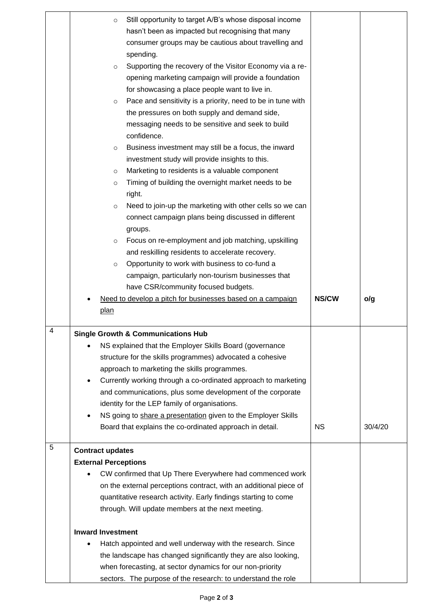|   | Still opportunity to target A/B's whose disposal income<br>$\circ$     |              |         |
|---|------------------------------------------------------------------------|--------------|---------|
|   | hasn't been as impacted but recognising that many                      |              |         |
|   | consumer groups may be cautious about travelling and                   |              |         |
|   | spending.                                                              |              |         |
|   | Supporting the recovery of the Visitor Economy via a re-<br>$\circ$    |              |         |
|   | opening marketing campaign will provide a foundation                   |              |         |
|   | for showcasing a place people want to live in.                         |              |         |
|   | Pace and sensitivity is a priority, need to be in tune with<br>$\circ$ |              |         |
|   | the pressures on both supply and demand side,                          |              |         |
|   | messaging needs to be sensitive and seek to build                      |              |         |
|   | confidence.                                                            |              |         |
|   | Business investment may still be a focus, the inward<br>$\circ$        |              |         |
|   | investment study will provide insights to this.                        |              |         |
|   | Marketing to residents is a valuable component<br>$\circ$              |              |         |
|   | Timing of building the overnight market needs to be<br>$\circ$         |              |         |
|   | right.                                                                 |              |         |
|   | Need to join-up the marketing with other cells so we can<br>$\circ$    |              |         |
|   | connect campaign plans being discussed in different                    |              |         |
|   | groups.                                                                |              |         |
|   | Focus on re-employment and job matching, upskilling<br>$\circ$         |              |         |
|   | and reskilling residents to accelerate recovery.                       |              |         |
|   | Opportunity to work with business to co-fund a<br>$\circ$              |              |         |
|   | campaign, particularly non-tourism businesses that                     |              |         |
|   | have CSR/community focused budgets.                                    |              |         |
|   |                                                                        | <b>NS/CW</b> |         |
|   | Need to develop a pitch for businesses based on a campaign<br>plan     |              | o/g     |
|   |                                                                        |              |         |
| 4 | <b>Single Growth &amp; Communications Hub</b>                          |              |         |
|   | NS explained that the Employer Skills Board (governance                |              |         |
|   | structure for the skills programmes) advocated a cohesive              |              |         |
|   | approach to marketing the skills programmes.                           |              |         |
|   | Currently working through a co-ordinated approach to marketing         |              |         |
|   | and communications, plus some development of the corporate             |              |         |
|   | identity for the LEP family of organisations.                          |              |         |
|   | NS going to share a presentation given to the Employer Skills          |              |         |
|   | Board that explains the co-ordinated approach in detail.               | <b>NS</b>    | 30/4/20 |
|   |                                                                        |              |         |
| 5 | <b>Contract updates</b>                                                |              |         |
|   | <b>External Perceptions</b>                                            |              |         |
|   | CW confirmed that Up There Everywhere had commenced work               |              |         |
|   | on the external perceptions contract, with an additional piece of      |              |         |
|   | quantitative research activity. Early findings starting to come        |              |         |
|   | through. Will update members at the next meeting.                      |              |         |
|   | <b>Inward Investment</b>                                               |              |         |
|   | Hatch appointed and well underway with the research. Since             |              |         |
|   | the landscape has changed significantly they are also looking,         |              |         |
|   | when forecasting, at sector dynamics for our non-priority              |              |         |
|   | sectors. The purpose of the research: to understand the role           |              |         |